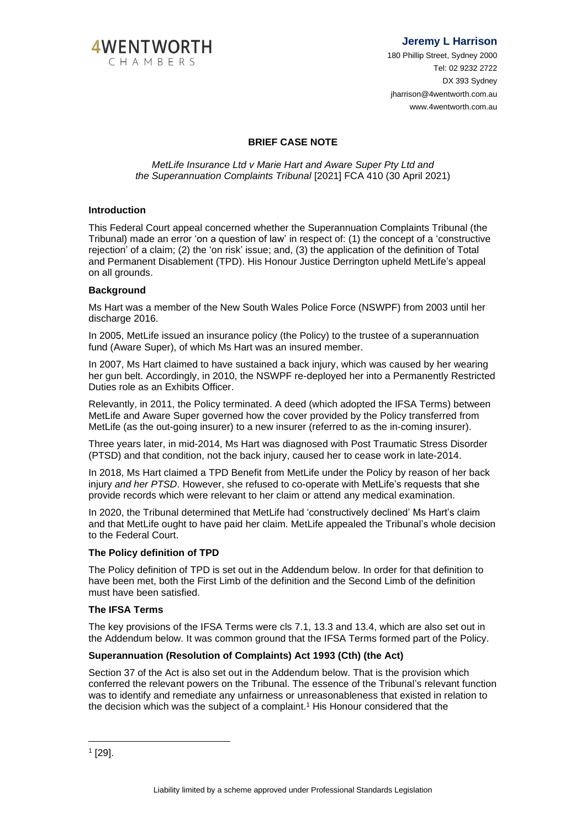

**Jeremy L Harrison**

180 Phillip Street, Sydney 2000 Tel: 02 9232 2722 DX 393 Svdnev jharrison@4wentworth.com.au www.4wentworth.com.au

# **BRIEF CASE NOTE**

*MetLife Insurance Ltd v Marie Hart and Aware Super Pty Ltd and the Superannuation Complaints Tribunal* [2021] FCA 410 (30 April 2021)

## **Introduction**

This Federal Court appeal concerned whether the Superannuation Complaints Tribunal (the Tribunal) made an error 'on a question of law' in respect of: (1) the concept of a 'constructive rejection' of a claim; (2) the 'on risk' issue; and, (3) the application of the definition of Total and Permanent Disablement (TPD). His Honour Justice Derrington upheld MetLife's appeal on all grounds.

## **Background**

Ms Hart was a member of the New South Wales Police Force (NSWPF) from 2003 until her discharge 2016.

In 2005, MetLife issued an insurance policy (the Policy) to the trustee of a superannuation fund (Aware Super), of which Ms Hart was an insured member.

In 2007, Ms Hart claimed to have sustained a back injury, which was caused by her wearing her gun belt. Accordingly, in 2010, the NSWPF re-deployed her into a Permanently Restricted Duties role as an Exhibits Officer.

Relevantly, in 2011, the Policy terminated. A deed (which adopted the IFSA Terms) between MetLife and Aware Super governed how the cover provided by the Policy transferred from MetLife (as the out-going insurer) to a new insurer (referred to as the in-coming insurer).

Three years later, in mid-2014, Ms Hart was diagnosed with Post Traumatic Stress Disorder (PTSD) and that condition, not the back injury, caused her to cease work in late-2014.

In 2018, Ms Hart claimed a TPD Benefit from MetLife under the Policy by reason of her back injury *and her PTSD*. However, she refused to co-operate with MetLife's requests that she provide records which were relevant to her claim or attend any medical examination.

In 2020, the Tribunal determined that MetLife had 'constructively declined' Ms Hart's claim and that MetLife ought to have paid her claim. MetLife appealed the Tribunal's whole decision to the Federal Court.

### **The Policy definition of TPD**

The Policy definition of TPD is set out in the Addendum below. In order for that definition to have been met, both the First Limb of the definition and the Second Limb of the definition must have been satisfied.

### **The IFSA Terms**

The key provisions of the IFSA Terms were cls 7.1, 13.3 and 13.4, which are also set out in the Addendum below. It was common ground that the IFSA Terms formed part of the Policy.

## **Superannuation (Resolution of Complaints) Act 1993 (Cth) (the Act)**

Section 37 of the Act is also set out in the Addendum below. That is the provision which conferred the relevant powers on the Tribunal. The essence of the Tribunal's relevant function was to identify and remediate any unfairness or unreasonableness that existed in relation to the decision which was the subject of a complaint. <sup>1</sup> His Honour considered that the

1 [29].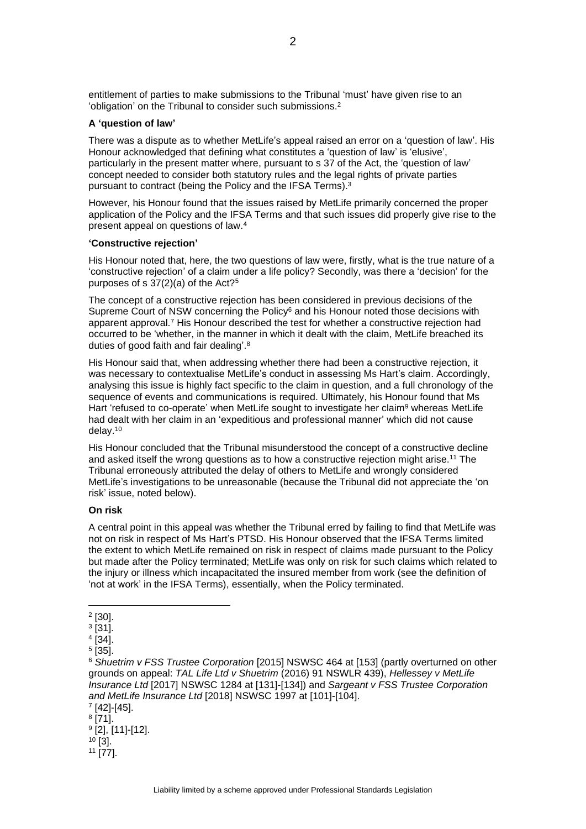entitlement of parties to make submissions to the Tribunal 'must' have given rise to an 'obligation' on the Tribunal to consider such submissions.<sup>2</sup>

### **A 'question of law'**

There was a dispute as to whether MetLife's appeal raised an error on a 'question of law'. His Honour acknowledged that defining what constitutes a 'question of law' is 'elusive', particularly in the present matter where, pursuant to s 37 of the Act, the 'question of law' concept needed to consider both statutory rules and the legal rights of private parties pursuant to contract (being the Policy and the IFSA Terms). 3

However, his Honour found that the issues raised by MetLife primarily concerned the proper application of the Policy and the IFSA Terms and that such issues did properly give rise to the present appeal on questions of law.<sup>4</sup>

### **'Constructive rejection'**

His Honour noted that, here, the two questions of law were, firstly, what is the true nature of a 'constructive rejection' of a claim under a life policy? Secondly, was there a 'decision' for the purposes of s  $37(2)(a)$  of the Act?<sup>5</sup>

The concept of a constructive rejection has been considered in previous decisions of the Supreme Court of NSW concerning the Policy<sup>6</sup> and his Honour noted those decisions with apparent approval.<sup>7</sup> His Honour described the test for whether a constructive rejection had occurred to be 'whether, in the manner in which it dealt with the claim, MetLife breached its duties of good faith and fair dealing'.<sup>8</sup>

His Honour said that, when addressing whether there had been a constructive rejection, it was necessary to contextualise MetLife's conduct in assessing Ms Hart's claim. Accordingly, analysing this issue is highly fact specific to the claim in question, and a full chronology of the sequence of events and communications is required. Ultimately, his Honour found that Ms Hart 'refused to co-operate' when MetLife sought to investigate her claim<sup>9</sup> whereas MetLife had dealt with her claim in an 'expeditious and professional manner' which did not cause delay. 10

His Honour concluded that the Tribunal misunderstood the concept of a constructive decline and asked itself the wrong questions as to how a constructive rejection might arise.<sup>11</sup> The Tribunal erroneously attributed the delay of others to MetLife and wrongly considered MetLife's investigations to be unreasonable (because the Tribunal did not appreciate the 'on risk' issue, noted below).

#### **On risk**

A central point in this appeal was whether the Tribunal erred by failing to find that MetLife was not on risk in respect of Ms Hart's PTSD. His Honour observed that the IFSA Terms limited the extent to which MetLife remained on risk in respect of claims made pursuant to the Policy but made after the Policy terminated; MetLife was only on risk for such claims which related to the injury or illness which incapacitated the insured member from work (see the definition of 'not at work' in the IFSA Terms), essentially, when the Policy terminated.

7 [42]-[45]. 8 [71]. 9 [2], [11]-[12].  $10$  [3]. <sup>11</sup> [77].

<sup>2</sup> [30].

<sup>3</sup> [31].

<sup>4</sup> [34].

<sup>5</sup> [35].

<sup>6</sup> *Shuetrim v FSS Trustee Corporation* [2015] NSWSC 464 at [153] (partly overturned on other grounds on appeal: *TAL Life Ltd v Shuetrim* (2016) 91 NSWLR 439), *Hellessey v MetLife Insurance Ltd* [2017] NSWSC 1284 at [131]-[134]) and *Sargeant v FSS Trustee Corporation and MetLife Insurance Ltd* [2018] NSWSC 1997 at [101]-[104].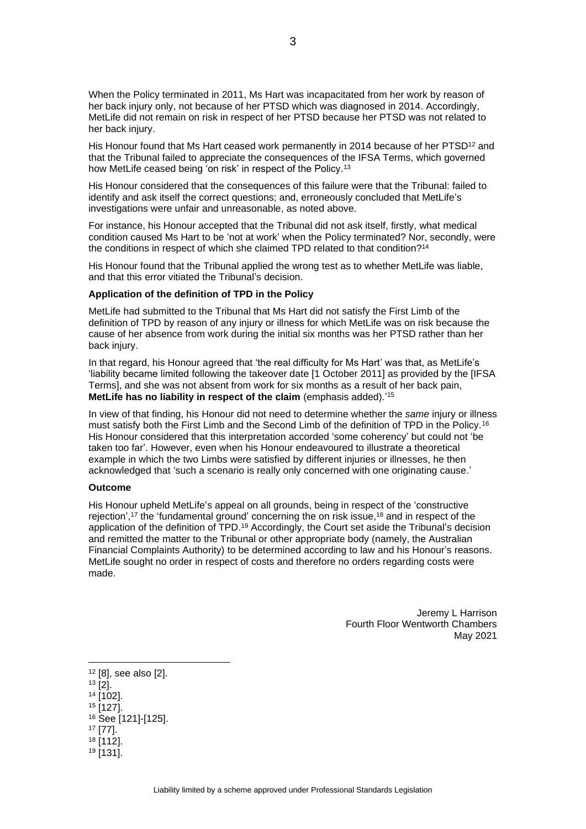When the Policy terminated in 2011, Ms Hart was incapacitated from her work by reason of her back injury only, not because of her PTSD which was diagnosed in 2014. Accordingly, MetLife did not remain on risk in respect of her PTSD because her PTSD was not related to her back injury.

His Honour found that Ms Hart ceased work permanently in 2014 because of her PTSD<sup>12</sup> and that the Tribunal failed to appreciate the consequences of the IFSA Terms, which governed how MetLife ceased being 'on risk' in respect of the Policy.<sup>13</sup>

His Honour considered that the consequences of this failure were that the Tribunal: failed to identify and ask itself the correct questions; and, erroneously concluded that MetLife's investigations were unfair and unreasonable, as noted above.

For instance, his Honour accepted that the Tribunal did not ask itself, firstly, what medical condition caused Ms Hart to be 'not at work' when the Policy terminated? Nor, secondly, were the conditions in respect of which she claimed TPD related to that condition?<sup>14</sup>

His Honour found that the Tribunal applied the wrong test as to whether MetLife was liable, and that this error vitiated the Tribunal's decision.

#### **Application of the definition of TPD in the Policy**

MetLife had submitted to the Tribunal that Ms Hart did not satisfy the First Limb of the definition of TPD by reason of any injury or illness for which MetLife was on risk because the cause of her absence from work during the initial six months was her PTSD rather than her back injury.

In that regard, his Honour agreed that 'the real difficulty for Ms Hart' was that, as MetLife's 'liability became limited following the takeover date [1 October 2011] as provided by the [IFSA Terms], and she was not absent from work for six months as a result of her back pain, **MetLife has no liability in respect of the claim** (emphasis added).' 15

In view of that finding, his Honour did not need to determine whether the *same* injury or illness must satisfy both the First Limb and the Second Limb of the definition of TPD in the Policy.<sup>16</sup> His Honour considered that this interpretation accorded 'some coherency' but could not 'be taken too far'. However, even when his Honour endeavoured to illustrate a theoretical example in which the two Limbs were satisfied by different injuries or illnesses, he then acknowledged that 'such a scenario is really only concerned with one originating cause.'

#### **Outcome**

His Honour upheld MetLife's appeal on all grounds, being in respect of the 'constructive rejection',<sup>17</sup> the 'fundamental ground' concerning the on risk issue,<sup>18</sup> and in respect of the application of the definition of TPD. <sup>19</sup> Accordingly, the Court set aside the Tribunal's decision and remitted the matter to the Tribunal or other appropriate body (namely, the Australian Financial Complaints Authority) to be determined according to law and his Honour's reasons. MetLife sought no order in respect of costs and therefore no orders regarding costs were made.

> Jeremy L Harrison Fourth Floor Wentworth Chambers May 2021

- <sup>14</sup> [102].
- $15$   $[127]$ .
- <sup>16</sup> See [121]-[125].
- <sup>17</sup> [77].
- <sup>18</sup> [112].  $19$  [131].

<sup>12</sup> [8], see also [2].

<sup>13</sup> [2].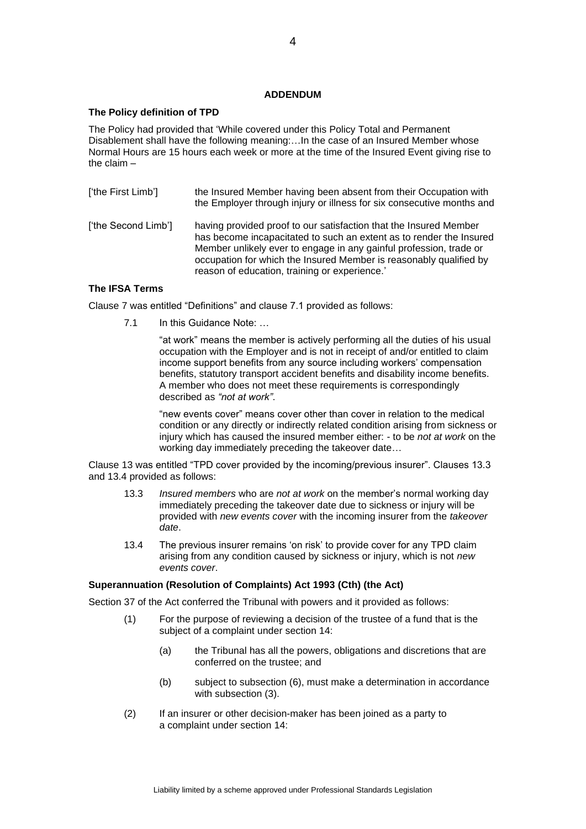## **ADDENDUM**

### **The Policy definition of TPD**

The Policy had provided that 'While covered under this Policy Total and Permanent Disablement shall have the following meaning:…In the case of an Insured Member whose Normal Hours are 15 hours each week or more at the time of the Insured Event giving rise to the claim –

['the First Limb'] the Insured Member having been absent from their Occupation with the Employer through injury or illness for six consecutive months and ['the Second Limb'] having provided proof to our satisfaction that the Insured Member has become incapacitated to such an extent as to render the Insured Member unlikely ever to engage in any gainful profession, trade or occupation for which the Insured Member is reasonably qualified by reason of education, training or experience.'

## **The IFSA Terms**

Clause 7 was entitled "Definitions" and clause 7.1 provided as follows:

7.1 In this Guidance Note: ...

"at work" means the member is actively performing all the duties of his usual occupation with the Employer and is not in receipt of and/or entitled to claim income support benefits from any source including workers' compensation benefits, statutory transport accident benefits and disability income benefits. A member who does not meet these requirements is correspondingly described as *"not at work"*.

"new events cover" means cover other than cover in relation to the medical condition or any directly or indirectly related condition arising from sickness or injury which has caused the insured member either: - to be *not at work* on the working day immediately preceding the takeover date…

Clause 13 was entitled "TPD cover provided by the incoming/previous insurer". Clauses 13.3 and 13.4 provided as follows:

- 13.3 *Insured members* who are *not at work* on the member's normal working day immediately preceding the takeover date due to sickness or injury will be provided with *new events cover* with the incoming insurer from the *takeover date*.
- 13.4 The previous insurer remains 'on risk' to provide cover for any TPD claim arising from any condition caused by sickness or injury, which is not *new events cover*.

### **Superannuation (Resolution of Complaints) Act 1993 (Cth) (the Act)**

Section 37 of the Act conferred the Tribunal with powers and it provided as follows:

- (1) For the purpose of reviewing a decision of the [trustee](http://www8.austlii.edu.au/cgi-bin/viewdoc/au/legis/cth/consol_act/soca1993464/s3.html#trustee) of a [fund](http://www8.austlii.edu.au/cgi-bin/viewdoc/au/legis/cth/consol_act/soca1993464/s3.html#fund) that is the subject of a [complaint](http://www8.austlii.edu.au/cgi-bin/viewdoc/au/legis/cth/consol_act/soca1993464/s3.html#complaint) under [section](http://www8.austlii.edu.au/cgi-bin/viewdoc/au/legis/cth/consol_act/soca1993464/s14.html) 14:
	- (a) the [Tribunal](http://www8.austlii.edu.au/cgi-bin/viewdoc/au/legis/cth/consol_act/soca1993464/s3.html#tribunal) has all the powers, obligations and discretions that are conferred on the [trustee;](http://www8.austlii.edu.au/cgi-bin/viewdoc/au/legis/cth/consol_act/soca1993464/s3.html#trustee) and
	- (b) subject to [subsection](http://www8.austlii.edu.au/cgi-bin/viewdoc/au/legis/cth/consol_act/soca1993464/s38.html#subsection) (6), must make a determination in accordance with [subsection](http://www8.austlii.edu.au/cgi-bin/viewdoc/au/legis/cth/consol_act/soca1993464/s38.html#subsection) (3).
- (2) If an [insurer](http://www8.austlii.edu.au/cgi-bin/viewdoc/au/legis/cth/consol_act/soca1993464/s3.html#insurer) or other [decision-maker](http://www8.austlii.edu.au/cgi-bin/viewdoc/au/legis/cth/consol_act/soca1993464/s3.html#decision-maker) has been joined as a [party](http://www8.austlii.edu.au/cgi-bin/viewdoc/au/legis/cth/consol_act/soca1993464/s3.html#party) to a [complaint](http://www8.austlii.edu.au/cgi-bin/viewdoc/au/legis/cth/consol_act/soca1993464/s3.html#complaint) under [section](http://www8.austlii.edu.au/cgi-bin/viewdoc/au/legis/cth/consol_act/soca1993464/s14.html) 14: